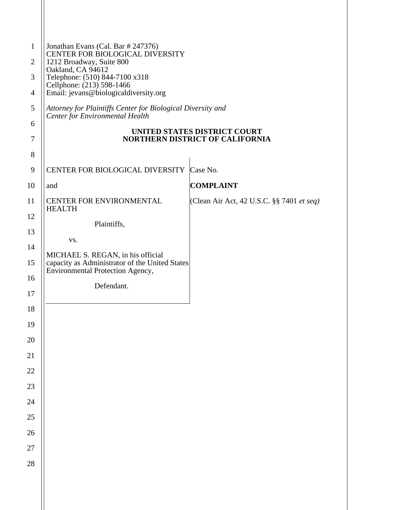| $\mathbf{1}$<br>$\overline{2}$ | Jonathan Evans (Cal. Bar # 247376)<br>CENTER FOR BIOLOGICAL DIVERSITY<br>1212 Broadway, Suite 800 |                                                                        |
|--------------------------------|---------------------------------------------------------------------------------------------------|------------------------------------------------------------------------|
| 3                              | Oakland, CA 94612<br>Telephone: (510) 844-7100 x318                                               |                                                                        |
| $\overline{4}$                 | Cellphone: (213) 598-1466<br>Email: jevans@biologicaldiversity.org                                |                                                                        |
| 5                              | Attorney for Plaintiffs Center for Biological Diversity and                                       |                                                                        |
| 6                              | <b>Center for Environmental Health</b>                                                            |                                                                        |
| 7                              |                                                                                                   | UNITED STATES DISTRICT COURT<br><b>NORTHERN DISTRICT OF CALIFORNIA</b> |
| 8                              |                                                                                                   |                                                                        |
| 9                              | CENTER FOR BIOLOGICAL DIVERSITY                                                                   | Case No.                                                               |
| 10                             | and                                                                                               | <b>COMPLAINT</b>                                                       |
| 11                             | CENTER FOR ENVIRONMENTAL<br><b>HEALTH</b>                                                         | (Clean Air Act, 42 U.S.C. §§ 7401 <i>et seq)</i>                       |
| 12                             | Plaintiffs,                                                                                       |                                                                        |
| 13                             | VS.                                                                                               |                                                                        |
| 14                             | MICHAEL S. REGAN, in his official                                                                 |                                                                        |
| 15                             | capacity as Administrator of the United States<br>Environmental Protection Agency,                |                                                                        |
| 16<br>17                       | Defendant.                                                                                        |                                                                        |
| 18                             |                                                                                                   |                                                                        |
| 19                             |                                                                                                   |                                                                        |
| <b>20</b>                      |                                                                                                   |                                                                        |
| 21                             |                                                                                                   |                                                                        |
| 22                             |                                                                                                   |                                                                        |
| 23                             |                                                                                                   |                                                                        |
| 24                             |                                                                                                   |                                                                        |
| 25                             |                                                                                                   |                                                                        |
| 26                             |                                                                                                   |                                                                        |
| 27                             |                                                                                                   |                                                                        |
| 28                             |                                                                                                   |                                                                        |
|                                |                                                                                                   |                                                                        |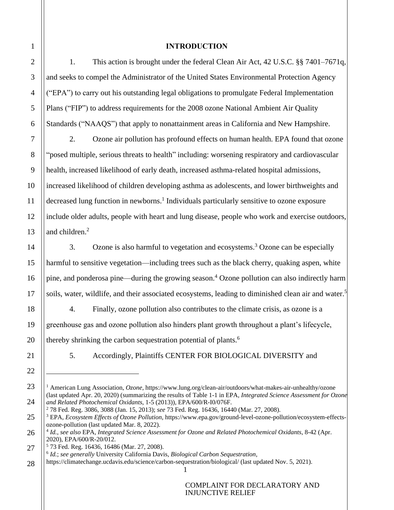## **INTRODUCTION**

1. This action is brought under the federal Clean Air Act, 42 U.S.C. §§ 7401–7671q, and seeks to compel the Administrator of the United States Environmental Protection Agency ("EPA") to carry out his outstanding legal obligations to promulgate Federal Implementation Plans ("FIP") to address requirements for the 2008 ozone National Ambient Air Quality Standards ("NAAQS") that apply to nonattainment areas in California and New Hampshire.

2. Ozone air pollution has profound effects on human health. EPA found that ozone "posed multiple, serious threats to health" including: worsening respiratory and cardiovascular health, increased likelihood of early death, increased asthma-related hospital admissions, increased likelihood of children developing asthma as adolescents, and lower birthweights and decreased lung function in newborns.<sup>1</sup> Individuals particularly sensitive to ozone exposure include older adults, people with heart and lung disease, people who work and exercise outdoors, and children.<sup>2</sup>

3. Ozone is also harmful to vegetation and ecosystems.<sup>3</sup> Ozone can be especially harmful to sensitive vegetation—including trees such as the black cherry, quaking aspen, white pine, and ponderosa pine—during the growing season.<sup>4</sup> Ozone pollution can also indirectly harm soils, water, wildlife, and their associated ecosystems, leading to diminished clean air and water.<sup>5</sup>

4. Finally, ozone pollution also contributes to the climate crisis, as ozone is a greenhouse gas and ozone pollution also hinders plant growth throughout a plant's lifecycle, thereby shrinking the carbon sequestration potential of plants.<sup>6</sup>

5. Accordingly, Plaintiffs CENTER FOR BIOLOGICAL DIVERSITY and

<sup>2</sup> 78 Fed. Reg. 3086, 3088 (Jan. 15, 2013); *see* 73 Fed. Reg. 16436, 16440 (Mar. 27, 2008).

<sup>1</sup> American Lung Association, *Ozone*, https://www.lung.org/clean-air/outdoors/what-makes-air-unhealthy/ozone (last updated Apr. 20, 2020) (summarizing the results of Table 1-1 in EPA, *Integrated Science Assessment for Ozone and Related Photochemical Oxidants*, 1-5 (2013)), EPA/600/R-I0/076F.

<sup>3</sup> EPA, *Ecosystem Effects of Ozone Pollution*, https://www.epa.gov/ground-level-ozone-pollution/ecosystem-effectsozone-pollution (last updated Mar. 8, 2022).

<sup>4</sup> *Id.*, *see also* EPA, *Integrated Science Assessment for Ozone and Related Photochemical Oxidants*, 8-42 (Apr. 2020), EPA/600/R-20/012.

<sup>5</sup> 73 Fed. Reg. 16436, 16486 (Mar. 27, 2008). 6 *Id.*; *see generally* University California Davis, *Biological Carbon Sequestration*,

https://climatechange.ucdavis.edu/science/carbon-sequestration/biological/ (last updated Nov. 5, 2021).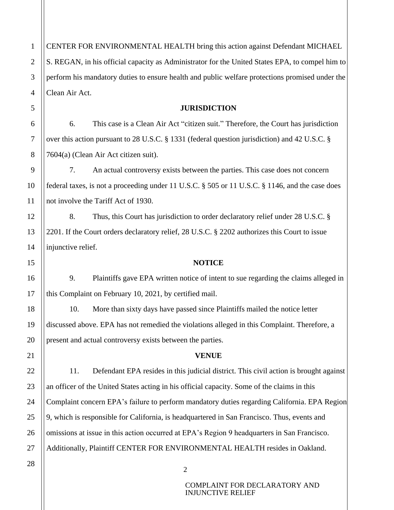CENTER FOR ENVIRONMENTAL HEALTH bring this action against Defendant MICHAEL S. REGAN, in his official capacity as Administrator for the United States EPA, to compel him to perform his mandatory duties to ensure health and public welfare protections promised under the Clean Air Act.

## **JURISDICTION**

6. This case is a Clean Air Act "citizen suit." Therefore, the Court has jurisdiction over this action pursuant to 28 U.S.C. § 1331 (federal question jurisdiction) and 42 U.S.C. § 7604(a) (Clean Air Act citizen suit).

7. An actual controversy exists between the parties. This case does not concern federal taxes, is not a proceeding under 11 U.S.C. § 505 or 11 U.S.C. § 1146, and the case does not involve the Tariff Act of 1930.

8. Thus, this Court has jurisdiction to order declaratory relief under 28 U.S.C. § 2201. If the Court orders declaratory relief, 28 U.S.C. § 2202 authorizes this Court to issue injunctive relief.

#### **NOTICE**

9. Plaintiffs gave EPA written notice of intent to sue regarding the claims alleged in this Complaint on February 10, 2021, by certified mail.

10. More than sixty days have passed since Plaintiffs mailed the notice letter discussed above. EPA has not remedied the violations alleged in this Complaint. Therefore, a present and actual controversy exists between the parties.

#### **VENUE**

11. Defendant EPA resides in this judicial district. This civil action is brought against an officer of the United States acting in his official capacity. Some of the claims in this Complaint concern EPA's failure to perform mandatory duties regarding California. EPA Region 9, which is responsible for California, is headquartered in San Francisco. Thus, events and omissions at issue in this action occurred at EPA's Region 9 headquarters in San Francisco. Additionally, Plaintiff CENTER FOR ENVIRONMENTAL HEALTH resides in Oakland.

1

 $\mathcal{L}$ 

3

4

5

6

7

8

9

10

11

12

13

14

15

16

17

18

19

20

21

22

23

2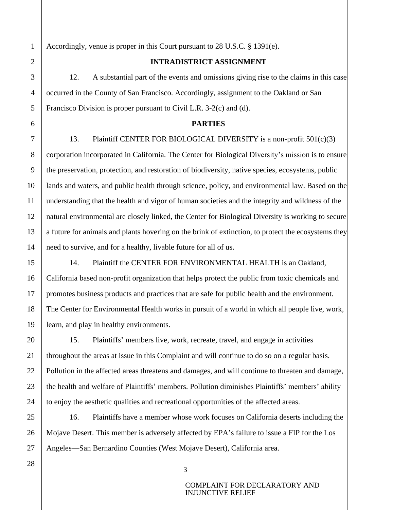Accordingly, venue is proper in this Court pursuant to 28 U.S.C. § 1391(e).

#### **INTRADISTRICT ASSIGNMENT**

12. A substantial part of the events and omissions giving rise to the claims in this case occurred in the County of San Francisco. Accordingly, assignment to the Oakland or San Francisco Division is proper pursuant to Civil L.R. 3-2(c) and (d).

#### **PARTIES**

13. Plaintiff CENTER FOR BIOLOGICAL DIVERSITY is a non-profit 501(c)(3) corporation incorporated in California. The Center for Biological Diversity's mission is to ensure the preservation, protection, and restoration of biodiversity, native species, ecosystems, public lands and waters, and public health through science, policy, and environmental law. Based on the understanding that the health and vigor of human societies and the integrity and wildness of the natural environmental are closely linked, the Center for Biological Diversity is working to secure a future for animals and plants hovering on the brink of extinction, to protect the ecosystems they need to survive, and for a healthy, livable future for all of us.

14. Plaintiff the CENTER FOR ENVIRONMENTAL HEALTH is an Oakland, California based non-profit organization that helps protect the public from toxic chemicals and promotes business products and practices that are safe for public health and the environment. The Center for Environmental Health works in pursuit of a world in which all people live, work, learn, and play in healthy environments.

15. Plaintiffs' members live, work, recreate, travel, and engage in activities throughout the areas at issue in this Complaint and will continue to do so on a regular basis. Pollution in the affected areas threatens and damages, and will continue to threaten and damage, the health and welfare of Plaintiffs' members. Pollution diminishes Plaintiffs' members' ability to enjoy the aesthetic qualities and recreational opportunities of the affected areas.

16. Plaintiffs have a member whose work focuses on California deserts including the Mojave Desert. This member is adversely affected by EPA's failure to issue a FIP for the Los Angeles—San Bernardino Counties (West Mojave Desert), California area.

3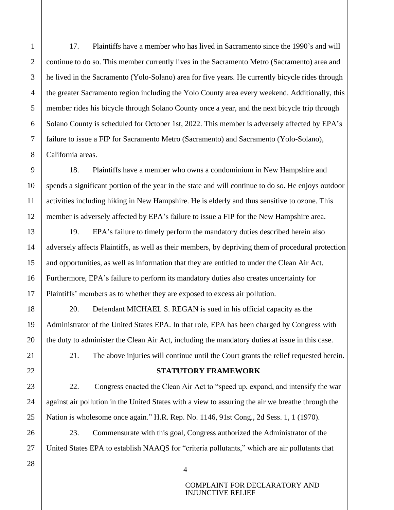17. Plaintiffs have a member who has lived in Sacramento since the 1990's and will continue to do so. This member currently lives in the Sacramento Metro (Sacramento) area and he lived in the Sacramento (Yolo-Solano) area for five years. He currently bicycle rides through the greater Sacramento region including the Yolo County area every weekend. Additionally, this member rides his bicycle through Solano County once a year, and the next bicycle trip through Solano County is scheduled for October 1st, 2022. This member is adversely affected by EPA's failure to issue a FIP for Sacramento Metro (Sacramento) and Sacramento (Yolo-Solano), California areas.

18. Plaintiffs have a member who owns a condominium in New Hampshire and spends a significant portion of the year in the state and will continue to do so. He enjoys outdoor activities including hiking in New Hampshire. He is elderly and thus sensitive to ozone. This member is adversely affected by EPA's failure to issue a FIP for the New Hampshire area.

19. EPA's failure to timely perform the mandatory duties described herein also adversely affects Plaintiffs, as well as their members, by depriving them of procedural protection and opportunities, as well as information that they are entitled to under the Clean Air Act. Furthermore, EPA's failure to perform its mandatory duties also creates uncertainty for Plaintiffs' members as to whether they are exposed to excess air pollution.

20. Defendant MICHAEL S. REGAN is sued in his official capacity as the Administrator of the United States EPA. In that role, EPA has been charged by Congress with the duty to administer the Clean Air Act, including the mandatory duties at issue in this case.

21. The above injuries will continue until the Court grants the relief requested herein.

## **STATUTORY FRAMEWORK**

22. Congress enacted the Clean Air Act to "speed up, expand, and intensify the war against air pollution in the United States with a view to assuring the air we breathe through the Nation is wholesome once again." H.R. Rep. No. 1146, 91st Cong., 2d Sess. 1, 1 (1970).

23. Commensurate with this goal, Congress authorized the Administrator of the United States EPA to establish NAAQS for "criteria pollutants," which are air pollutants that

27 28

1

 $\mathcal{L}$ 

3

4

5

6

7

8

9

10

11

12

13

14

15

16

17

18

19

20

21

22

23

24

25

26

4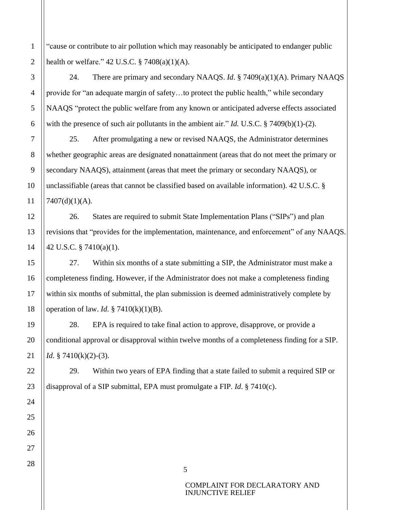"cause or contribute to air pollution which may reasonably be anticipated to endanger public health or welfare."  $42$  U.S.C.  $\S$  7408(a)(1)(A).

24. There are primary and secondary NAAQS. *Id*. § 7409(a)(1)(A). Primary NAAQS provide for "an adequate margin of safety…to protect the public health," while secondary NAAQS "protect the public welfare from any known or anticipated adverse effects associated with the presence of such air pollutants in the ambient air." *Id.* U.S.C. § 7409(b)(1)-(2).

25. After promulgating a new or revised NAAQS, the Administrator determines whether geographic areas are designated nonattainment (areas that do not meet the primary or secondary NAAQS), attainment (areas that meet the primary or secondary NAAQS), or unclassifiable (areas that cannot be classified based on available information). 42 U.S.C. §  $7407(d)(1)(A)$ .

26. States are required to submit State Implementation Plans ("SIPs") and plan revisions that "provides for the implementation, maintenance, and enforcement" of any NAAQS. 42 U.S.C. § 7410(a)(1).

27. Within six months of a state submitting a SIP, the Administrator must make a completeness finding. However, if the Administrator does not make a completeness finding within six months of submittal, the plan submission is deemed administratively complete by operation of law. *Id*. § 7410(k)(1)(B).

28. EPA is required to take final action to approve, disapprove, or provide a conditional approval or disapproval within twelve months of a completeness finding for a SIP. *Id.* § 7410(k)(2)-(3).

29. Within two years of EPA finding that a state failed to submit a required SIP or disapproval of a SIP submittal, EPA must promulgate a FIP. *Id*. § 7410(c).

5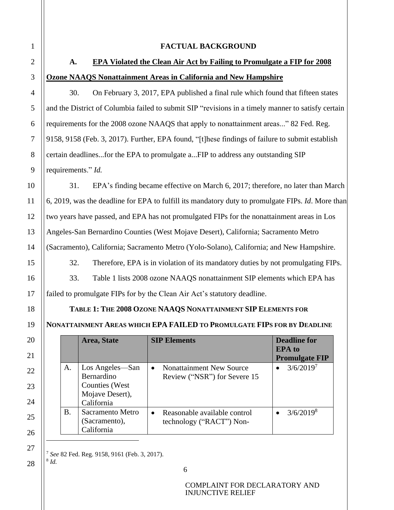### **FACTUAL BACKGROUND**

# **A. EPA Violated the Clean Air Act by Failing to Promulgate a FIP for 2008 Ozone NAAQS Nonattainment Areas in California and New Hampshire**

30. On February 3, 2017, EPA published a final rule which found that fifteen states and the District of Columbia failed to submit SIP "revisions in a timely manner to satisfy certain requirements for the 2008 ozone NAAQS that apply to nonattainment areas..." 82 Fed. Reg. 9158, 9158 (Feb. 3, 2017). Further, EPA found, "[t]hese findings of failure to submit establish certain deadlines...for the EPA to promulgate a...FIP to address any outstanding SIP requirements." *Id.*

31. EPA's finding became effective on March 6, 2017; therefore, no later than March 6, 2019, was the deadline for EPA to fulfill its mandatory duty to promulgate FIPs. *Id*. More than two years have passed, and EPA has not promulgated FIPs for the nonattainment areas in Los Angeles-San Bernardino Counties (West Mojave Desert), California; Sacramento Metro (Sacramento), California; Sacramento Metro (Yolo-Solano), California; and New Hampshire.

32. Therefore, EPA is in violation of its mandatory duties by not promulgating FIPs. 33. Table 1 lists 2008 ozone NAAQS nonattainment SIP elements which EPA has failed to promulgate FIPs for by the Clean Air Act's statutory deadline.

## **TABLE 1: THE 2008 OZONE NAAQS NONATTAINMENT SIP ELEMENTS FOR**

**NONATTAINMENT AREAS WHICH EPA FAILED TO PROMULGATE FIPS FOR BY DEADLINE**

|    | Area, State                                                                             | <b>SIP Elements</b>                                                          | <b>Deadline for</b><br><b>EPA</b> to<br><b>Promulgate FIP</b> |
|----|-----------------------------------------------------------------------------------------|------------------------------------------------------------------------------|---------------------------------------------------------------|
| A. | Los Angeles—San<br>Bernardino<br><b>Counties</b> (West<br>Mojave Desert),<br>California | <b>Nonattainment New Source</b><br>$\bullet$<br>Review ("NSR") for Severe 15 | $3/6/2019^{7}$                                                |
| Β. | Sacramento Metro<br>(Sacramento),<br>California                                         | Reasonable available control<br>$\bullet$<br>technology ("RACT") Non-        | 3/6/2019 <sup>8</sup>                                         |

<sup>7</sup> *See* 82 Fed. Reg. 9158, 9161 (Feb. 3, 2017). 8 *Id.*

28

25

26

27

COMPLAINT FOR DECLARATORY AND INJUNCTIVE RELIEF

6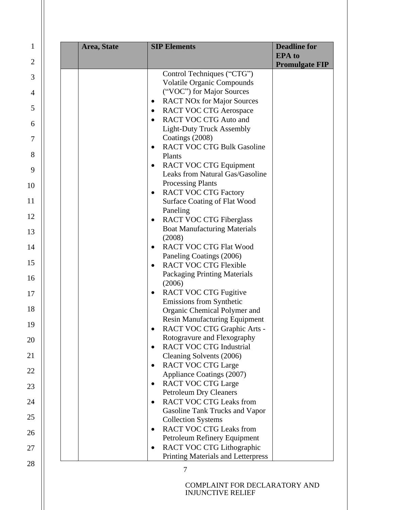| Area, State | <b>SIP Elements</b>                            | <b>Deadline for</b><br><b>EPA</b> to<br><b>Promulgate FIP</b> |
|-------------|------------------------------------------------|---------------------------------------------------------------|
|             | Control Techniques ("CTG")                     |                                                               |
|             | <b>Volatile Organic Compounds</b>              |                                                               |
|             | ("VOC") for Major Sources                      |                                                               |
|             | <b>RACT NOx for Major Sources</b><br>$\bullet$ |                                                               |
|             | <b>RACT VOC CTG Aerospace</b><br>$\bullet$     |                                                               |
|             | <b>RACT VOC CTG Auto and</b>                   |                                                               |
|             | <b>Light-Duty Truck Assembly</b>               |                                                               |
|             | Coatings (2008)                                |                                                               |
|             | <b>RACT VOC CTG Bulk Gasoline</b><br>$\bullet$ |                                                               |
|             | Plants                                         |                                                               |
|             | <b>RACT VOC CTG Equipment</b><br>$\bullet$     |                                                               |
|             | Leaks from Natural Gas/Gasoline                |                                                               |
|             | <b>Processing Plants</b>                       |                                                               |
|             | <b>RACT VOC CTG Factory</b><br>٠               |                                                               |
|             | Surface Coating of Flat Wood                   |                                                               |
|             | Paneling                                       |                                                               |
|             | <b>RACT VOC CTG Fiberglass</b><br>$\bullet$    |                                                               |
|             | <b>Boat Manufacturing Materials</b>            |                                                               |
|             | (2008)                                         |                                                               |
|             | <b>RACT VOC CTG Flat Wood</b>                  |                                                               |
|             | Paneling Coatings (2006)                       |                                                               |
|             | <b>RACT VOC CTG Flexible</b>                   |                                                               |
|             | Packaging Printing Materials<br>(2006)         |                                                               |
|             | <b>RACT VOC CTG Fugitive</b><br>$\bullet$      |                                                               |
|             | Emissions from Synthetic                       |                                                               |
|             | Organic Chemical Polymer and                   |                                                               |
|             | <b>Resin Manufacturing Equipment</b>           |                                                               |
|             | RACT VOC CTG Graphic Arts -                    |                                                               |
|             | Rotogravure and Flexography                    |                                                               |
|             | <b>RACT VOC CTG Industrial</b>                 |                                                               |
|             | Cleaning Solvents (2006)                       |                                                               |
|             | <b>RACT VOC CTG Large</b>                      |                                                               |
|             | Appliance Coatings (2007)                      |                                                               |
|             | <b>RACT VOC CTG Large</b><br>$\bullet$         |                                                               |
|             | <b>Petroleum Dry Cleaners</b>                  |                                                               |
|             | <b>RACT VOC CTG Leaks from</b><br>$\bullet$    |                                                               |
|             | Gasoline Tank Trucks and Vapor                 |                                                               |
|             | <b>Collection Systems</b>                      |                                                               |
|             | <b>RACT VOC CTG Leaks from</b><br>$\bullet$    |                                                               |
|             | Petroleum Refinery Equipment                   |                                                               |
|             | RACT VOC CTG Lithographic                      |                                                               |
|             | Printing Materials and Letterpress             |                                                               |
|             |                                                |                                                               |
|             | <b>COMPLAINT FOR DECLARATORY AND</b>           |                                                               |

 $\overline{6}$ 

 $\overline{7}$ 

 $\overline{8}$ 

9

 $\overline{5}$ 

 $\overline{1}$ 

 $\overline{2}$ 

 $\overline{3}$ 

 $\overline{4}$ 

 $\frac{10}{11}$ 

12

13

14

15

16

17

18

19

20

21

22

23

24

25

26

27

28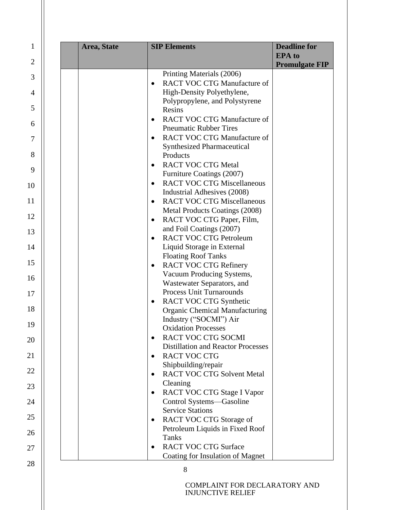| Area, State | <b>SIP Elements</b>                                 | <b>Deadline for</b><br><b>EPA</b> to<br><b>Promulgate FIP</b> |
|-------------|-----------------------------------------------------|---------------------------------------------------------------|
|             | Printing Materials (2006)                           |                                                               |
|             | <b>RACT VOC CTG Manufacture of</b><br>$\bullet$     |                                                               |
|             | High-Density Polyethylene,                          |                                                               |
|             | Polypropylene, and Polystyrene                      |                                                               |
|             | Resins                                              |                                                               |
|             | <b>RACT VOC CTG Manufacture of</b><br>$\bullet$     |                                                               |
|             | <b>Pneumatic Rubber Tires</b>                       |                                                               |
|             | <b>RACT VOC CTG Manufacture of</b><br>$\bullet$     |                                                               |
|             | <b>Synthesized Pharmaceutical</b>                   |                                                               |
|             | Products                                            |                                                               |
|             | <b>RACT VOC CTG Metal</b><br>$\bullet$              |                                                               |
|             | Furniture Coatings (2007)                           |                                                               |
|             | <b>RACT VOC CTG Miscellaneous</b><br>$\bullet$      |                                                               |
|             | Industrial Adhesives (2008)                         |                                                               |
|             | <b>RACT VOC CTG Miscellaneous</b>                   |                                                               |
|             | Metal Products Coatings (2008)                      |                                                               |
|             | RACT VOC CTG Paper, Film,<br>$\bullet$              |                                                               |
|             | and Foil Coatings (2007)                            |                                                               |
|             | <b>RACT VOC CTG Petroleum</b><br>$\bullet$          |                                                               |
|             | Liquid Storage in External                          |                                                               |
|             | <b>Floating Roof Tanks</b>                          |                                                               |
|             | <b>RACT VOC CTG Refinery</b><br>$\bullet$           |                                                               |
|             | Vacuum Producing Systems,                           |                                                               |
|             | Wastewater Separators, and                          |                                                               |
|             | <b>Process Unit Turnarounds</b>                     |                                                               |
|             | RACT VOC CTG Synthetic                              |                                                               |
|             | <b>Organic Chemical Manufacturing</b>               |                                                               |
|             | Industry ("SOCMI") Air                              |                                                               |
|             | <b>Oxidation Processes</b>                          |                                                               |
|             | RACT VOC CTG SOCMI                                  |                                                               |
|             | <b>Distillation and Reactor Processes</b>           |                                                               |
|             | <b>RACT VOC CTG</b>                                 |                                                               |
|             | Shipbuilding/repair                                 |                                                               |
|             | <b>RACT VOC CTG Solvent Metal</b><br>$\bullet$      |                                                               |
|             | Cleaning                                            |                                                               |
|             | RACT VOC CTG Stage I Vapor<br>$\bullet$             |                                                               |
|             | Control Systems-Gasoline<br><b>Service Stations</b> |                                                               |
|             |                                                     |                                                               |
|             | RACT VOC CTG Storage of<br>$\bullet$                |                                                               |
|             | Petroleum Liquids in Fixed Roof<br>Tanks            |                                                               |
|             | <b>RACT VOC CTG Surface</b>                         |                                                               |
|             | $\bullet$                                           |                                                               |
|             | Coating for Insulation of Magnet                    |                                                               |

 $\overline{6}$ 

 $\overline{7}$ 

 $\overline{8}$ 

9

 $\overline{5}$ 

 $\overline{1}$ 

 $\overline{2}$ 

 $\overline{3}$ 

 $\overline{4}$ 

 $\frac{10}{11}$ 

12

13

14

15

16

17

18

19

20

21

22

23

24

25

26

27

28

INJUNCTIVE RELIEF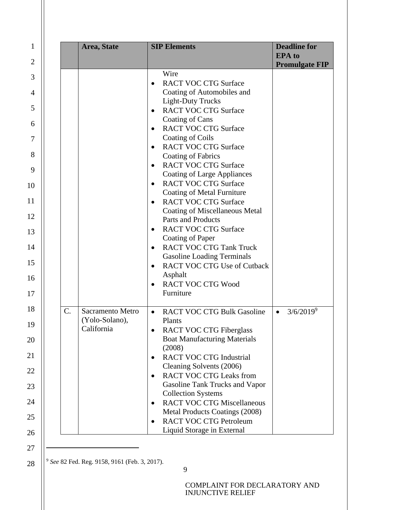|                 | Area, State                                             | <b>SIP Elements</b>                                                                                                                                                                                                                                                                                                                                                                                                                                                                                                                                                                                                                                                                                                                                                                                                                                                      | <b>Deadline for</b><br><b>EPA</b> to<br><b>Promulgate FIP</b> |
|-----------------|---------------------------------------------------------|--------------------------------------------------------------------------------------------------------------------------------------------------------------------------------------------------------------------------------------------------------------------------------------------------------------------------------------------------------------------------------------------------------------------------------------------------------------------------------------------------------------------------------------------------------------------------------------------------------------------------------------------------------------------------------------------------------------------------------------------------------------------------------------------------------------------------------------------------------------------------|---------------------------------------------------------------|
|                 |                                                         | Wire<br><b>RACT VOC CTG Surface</b><br>$\bullet$<br>Coating of Automobiles and<br><b>Light-Duty Trucks</b><br><b>RACT VOC CTG Surface</b><br>$\bullet$<br>Coating of Cans<br><b>RACT VOC CTG Surface</b><br>$\bullet$<br>Coating of Coils<br><b>RACT VOC CTG Surface</b><br>$\bullet$<br>Coating of Fabrics<br><b>RACT VOC CTG Surface</b><br>$\bullet$<br><b>Coating of Large Appliances</b><br><b>RACT VOC CTG Surface</b><br>$\bullet$<br><b>Coating of Metal Furniture</b><br><b>RACT VOC CTG Surface</b><br>$\bullet$<br><b>Coating of Miscellaneous Metal</b><br><b>Parts and Products</b><br><b>RACT VOC CTG Surface</b><br>$\bullet$<br>Coating of Paper<br><b>RACT VOC CTG Tank Truck</b><br>$\bullet$<br><b>Gasoline Loading Terminals</b><br><b>RACT VOC CTG Use of Cutback</b><br>$\bullet$<br>Asphalt<br><b>RACT VOC CTG Wood</b><br>$\bullet$<br>Furniture |                                                               |
| $\mathcal{C}$ . | <b>Sacramento Metro</b><br>(Yolo-Solano),<br>California | <b>RACT VOC CTG Bulk Gasoline</b><br>$\bullet$<br>Plants<br><b>RACT VOC CTG Fiberglass</b><br>$\bullet$<br><b>Boat Manufacturing Materials</b><br>(2008)<br><b>RACT VOC CTG Industrial</b><br>$\bullet$<br>Cleaning Solvents (2006)<br><b>RACT VOC CTG Leaks from</b><br>$\bullet$<br>Gasoline Tank Trucks and Vapor<br><b>Collection Systems</b><br><b>RACT VOC CTG Miscellaneous</b><br>$\bullet$<br>Metal Products Coatings (2008)<br><b>RACT VOC CTG Petroleum</b><br>$\bullet$<br>Liquid Storage in External                                                                                                                                                                                                                                                                                                                                                        | $3/6/2019^9$<br>$\bullet$                                     |

<sup>9</sup> *See* 82 Fed. Reg. 9158, 9161 (Feb. 3, 2017).

1

2

3

4

5

6

7

8

9

10

11

12

13

14

15

16

17

18

19

20

21

22

23

24

25

26

27

28

9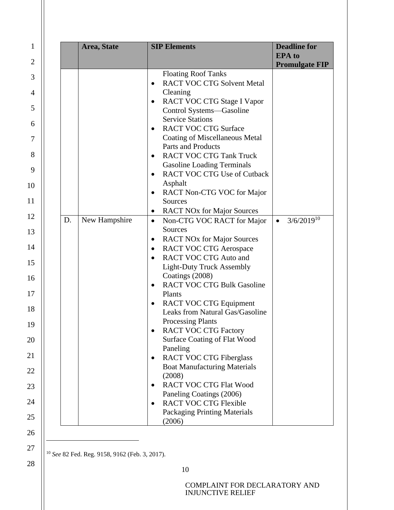| $\mathbf{1}$   |    | Area, State   | <b>SIP Elements</b>                                                                  | <b>Deadline for</b>                    |
|----------------|----|---------------|--------------------------------------------------------------------------------------|----------------------------------------|
| $\overline{2}$ |    |               |                                                                                      | <b>EPA</b> to<br><b>Promulgate FIP</b> |
| 3              |    |               | <b>Floating Roof Tanks</b><br><b>RACT VOC CTG Solvent Metal</b><br>$\bullet$         |                                        |
| $\overline{4}$ |    |               | Cleaning                                                                             |                                        |
| 5              |    |               | RACT VOC CTG Stage I Vapor<br>$\bullet$<br>Control Systems-Gasoline                  |                                        |
| 6              |    |               | <b>Service Stations</b><br><b>RACT VOC CTG Surface</b>                               |                                        |
| 7              |    |               | Coating of Miscellaneous Metal                                                       |                                        |
| 8              |    |               | Parts and Products<br><b>RACT VOC CTG Tank Truck</b><br>$\bullet$                    |                                        |
| 9              |    |               | <b>Gasoline Loading Terminals</b><br><b>RACT VOC CTG Use of Cutback</b><br>$\bullet$ |                                        |
| 10             |    |               | Asphalt                                                                              |                                        |
| 11             |    |               | RACT Non-CTG VOC for Major<br>$\bullet$<br>Sources                                   |                                        |
| 12             | D. |               | <b>RACT NOx for Major Sources</b><br>٠                                               | $3/6/2019^{10}$                        |
| 13             |    | New Hampshire | Non-CTG VOC RACT for Major<br>$\bullet$<br>Sources                                   | $\bullet$                              |
|                |    |               | <b>RACT NOx for Major Sources</b><br>$\bullet$                                       |                                        |
| 14             |    |               | <b>RACT VOC CTG Aerospace</b><br>$\bullet$                                           |                                        |
| 15             |    |               | <b>RACT VOC CTG Auto and</b><br>$\bullet$                                            |                                        |
|                |    |               | <b>Light-Duty Truck Assembly</b><br>Coatings (2008)                                  |                                        |
| 16             |    |               | <b>RACT VOC CTG Bulk Gasoline</b><br>$\bullet$                                       |                                        |
| 17             |    |               | Plants                                                                               |                                        |
| 18             |    |               | <b>RACT VOC CTG Equipment</b><br>$\bullet$<br>Leaks from Natural Gas/Gasoline        |                                        |
| 19             |    |               | <b>Processing Plants</b>                                                             |                                        |
| 20             |    |               | <b>RACT VOC CTG Factory</b><br>Surface Coating of Flat Wood                          |                                        |
| 21             |    |               | Paneling<br><b>RACT VOC CTG Fiberglass</b><br>$\bullet$                              |                                        |
| 22             |    |               | <b>Boat Manufacturing Materials</b>                                                  |                                        |
| 23             |    |               | (2008)<br><b>RACT VOC CTG Flat Wood</b><br>$\bullet$                                 |                                        |
| 24             |    |               | Paneling Coatings (2006)<br><b>RACT VOC CTG Flexible</b><br>$\bullet$                |                                        |
| 25             |    |               | Packaging Printing Materials<br>(2006)                                               |                                        |
|                |    |               |                                                                                      |                                        |

<sup>10</sup> *See* 82 Fed. Reg. 9158, 9162 (Feb. 3, 2017).

26

27

28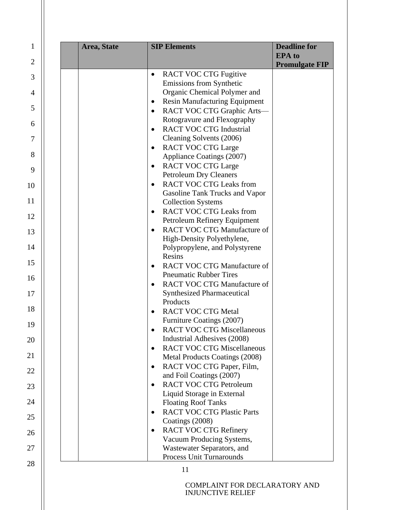| 1              | Area, State | <b>SIP Elements</b>                                                                  | <b>Deadline for</b><br><b>EPA</b> to |
|----------------|-------------|--------------------------------------------------------------------------------------|--------------------------------------|
| $\overline{2}$ |             |                                                                                      | <b>Promulgate FIP</b>                |
| 3              |             | <b>RACT VOC CTG Fugitive</b><br>$\bullet$                                            |                                      |
|                |             | Emissions from Synthetic                                                             |                                      |
| 4              |             | Organic Chemical Polymer and                                                         |                                      |
| 5              |             | <b>Resin Manufacturing Equipment</b><br>٠<br>RACT VOC CTG Graphic Arts-<br>$\bullet$ |                                      |
|                |             | Rotogravure and Flexography                                                          |                                      |
| 6              |             | <b>RACT VOC CTG Industrial</b><br>$\bullet$                                          |                                      |
| 7              |             | Cleaning Solvents (2006)                                                             |                                      |
|                |             | <b>RACT VOC CTG Large</b><br>$\bullet$                                               |                                      |
| 8              |             | Appliance Coatings (2007)                                                            |                                      |
| 9              |             | <b>RACT VOC CTG Large</b><br>$\bullet$                                               |                                      |
|                |             | <b>Petroleum Dry Cleaners</b>                                                        |                                      |
| 10             |             | <b>RACT VOC CTG Leaks from</b><br>Gasoline Tank Trucks and Vapor                     |                                      |
| 11             |             | <b>Collection Systems</b>                                                            |                                      |
|                |             | <b>RACT VOC CTG Leaks from</b><br>$\bullet$                                          |                                      |
| 12             |             | Petroleum Refinery Equipment                                                         |                                      |
| 13             |             | <b>RACT VOC CTG Manufacture of</b><br>$\bullet$                                      |                                      |
|                |             | High-Density Polyethylene,                                                           |                                      |
| 14             |             | Polypropylene, and Polystyrene                                                       |                                      |
| 15             |             | Resins<br><b>RACT VOC CTG Manufacture of</b>                                         |                                      |
|                |             | <b>Pneumatic Rubber Tires</b>                                                        |                                      |
| 16             |             | <b>RACT VOC CTG Manufacture of</b>                                                   |                                      |
| 17             |             | <b>Synthesized Pharmaceutical</b>                                                    |                                      |
|                |             | Products                                                                             |                                      |
| 18             |             | <b>RACT VOC CTG Metal</b>                                                            |                                      |
| 19             |             | Furniture Coatings (2007)                                                            |                                      |
|                |             | <b>RACT VOC CTG Miscellaneous</b>                                                    |                                      |
| 20             |             | Industrial Adhesives (2008)<br><b>RACT VOC CTG Miscellaneous</b><br>$\bullet$        |                                      |
| 21             |             | Metal Products Coatings (2008)                                                       |                                      |
|                |             | RACT VOC CTG Paper, Film,<br>$\bullet$                                               |                                      |
| 22             |             | and Foil Coatings (2007)                                                             |                                      |
| 23             |             | <b>RACT VOC CTG Petroleum</b><br>$\bullet$                                           |                                      |
|                |             | Liquid Storage in External                                                           |                                      |
| 24             |             | <b>Floating Roof Tanks</b>                                                           |                                      |
| 25             |             | <b>RACT VOC CTG Plastic Parts</b><br>$\bullet$                                       |                                      |
|                |             | Coatings (2008)<br><b>RACT VOC CTG Refinery</b><br>$\bullet$                         |                                      |
| 26             |             | Vacuum Producing Systems,                                                            |                                      |
| 27             |             | Wastewater Separators, and                                                           |                                      |
|                |             | Process Unit Turnarounds                                                             |                                      |
| 28             |             | 11                                                                                   |                                      |
|                |             | <b>COMPLAINT FOR DECLARATORY AND</b><br><b>INJUNCTIVE RELIEF</b>                     |                                      |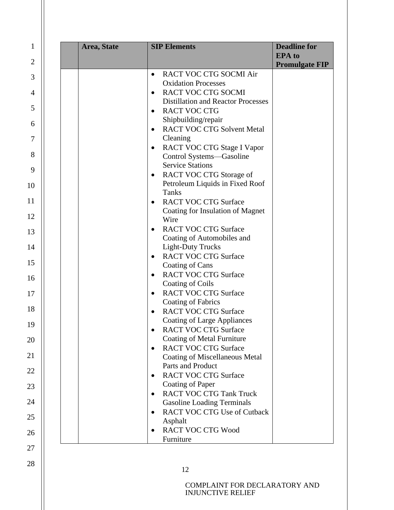| Area, State | <b>SIP Elements</b>                             | <b>Deadline for</b><br><b>EPA</b> to<br><b>Promulgate FIP</b> |
|-------------|-------------------------------------------------|---------------------------------------------------------------|
|             | RACT VOC CTG SOCMI Air<br>$\bullet$             |                                                               |
|             | <b>Oxidation Processes</b>                      |                                                               |
|             | <b>RACT VOC CTG SOCMI</b><br>$\bullet$          |                                                               |
|             | <b>Distillation and Reactor Processes</b>       |                                                               |
|             | <b>RACT VOC CTG</b><br>$\bullet$                |                                                               |
|             | Shipbuilding/repair                             |                                                               |
|             | <b>RACT VOC CTG Solvent Metal</b><br>$\bullet$  |                                                               |
|             | Cleaning                                        |                                                               |
|             | RACT VOC CTG Stage I Vapor<br>$\bullet$         |                                                               |
|             | Control Systems-Gasoline                        |                                                               |
|             | <b>Service Stations</b>                         |                                                               |
|             | RACT VOC CTG Storage of<br>$\bullet$            |                                                               |
|             | Petroleum Liquids in Fixed Roof                 |                                                               |
|             | <b>Tanks</b>                                    |                                                               |
|             | <b>RACT VOC CTG Surface</b><br>$\bullet$        |                                                               |
|             | Coating for Insulation of Magnet                |                                                               |
|             | Wire                                            |                                                               |
|             | <b>RACT VOC CTG Surface</b><br>$\bullet$        |                                                               |
|             | Coating of Automobiles and                      |                                                               |
|             | <b>Light-Duty Trucks</b>                        |                                                               |
|             | <b>RACT VOC CTG Surface</b><br>$\bullet$        |                                                               |
|             | Coating of Cans                                 |                                                               |
|             | <b>RACT VOC CTG Surface</b>                     |                                                               |
|             | Coating of Coils                                |                                                               |
|             | <b>RACT VOC CTG Surface</b><br>$\bullet$        |                                                               |
|             | Coating of Fabrics                              |                                                               |
|             | <b>RACT VOC CTG Surface</b>                     |                                                               |
|             | <b>Coating of Large Appliances</b>              |                                                               |
|             | <b>RACT VOC CTG Surface</b>                     |                                                               |
|             | Coating of Metal Furniture                      |                                                               |
|             | <b>RACT VOC CTG Surface</b><br>$\bullet$        |                                                               |
|             | <b>Coating of Miscellaneous Metal</b>           |                                                               |
|             | Parts and Product                               |                                                               |
|             | <b>RACT VOC CTG Surface</b><br>$\bullet$        |                                                               |
|             | Coating of Paper                                |                                                               |
|             | <b>RACT VOC CTG Tank Truck</b><br>$\bullet$     |                                                               |
|             | <b>Gasoline Loading Terminals</b>               |                                                               |
|             | <b>RACT VOC CTG Use of Cutback</b><br>$\bullet$ |                                                               |
|             | Asphalt                                         |                                                               |
|             | <b>RACT VOC CTG Wood</b><br>$\bullet$           |                                                               |
|             | Furniture                                       |                                                               |

5

 $\overline{6}$ 

 $\overline{7}$ 

 $\,8\,$ 

9

 $\mathbf{1}$ 

 $\overline{2}$ 

 $\overline{3}$ 

 $\overline{4}$ 

 $\frac{10}{11}$ 

12

13

14

15

16

17

18

19

20

21

22

23

24

25

26

27

28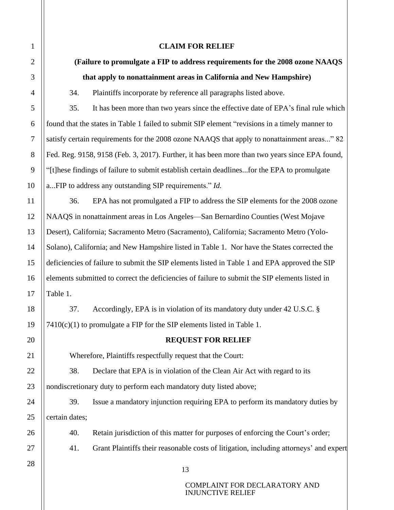| $\mathbf{1}$   | <b>CLAIM FOR RELIEF</b>                                                                        |  |
|----------------|------------------------------------------------------------------------------------------------|--|
| $\overline{2}$ | (Failure to promulgate a FIP to address requirements for the 2008 ozone NAAQS                  |  |
| 3              | that apply to nonattainment areas in California and New Hampshire)                             |  |
| $\overline{4}$ | 34.<br>Plaintiffs incorporate by reference all paragraphs listed above.                        |  |
| 5              | 35.<br>It has been more than two years since the effective date of EPA's final rule which      |  |
| 6              | found that the states in Table 1 failed to submit SIP element "revisions in a timely manner to |  |
| $\tau$         | satisfy certain requirements for the 2008 ozone NAAQS that apply to nonattainment areas" 82    |  |
| 8              | Fed. Reg. 9158, 9158 (Feb. 3, 2017). Further, it has been more than two years since EPA found, |  |
| 9              | "[t]hese findings of failure to submit establish certain deadlinesfor the EPA to promulgate    |  |
| 10             | aFIP to address any outstanding SIP requirements." Id.                                         |  |
| 11             | 36.<br>EPA has not promulgated a FIP to address the SIP elements for the 2008 ozone            |  |
| 12             | NAAQS in nonattainment areas in Los Angeles—San Bernardino Counties (West Mojave               |  |
| 13             | Desert), California; Sacramento Metro (Sacramento), California; Sacramento Metro (Yolo-        |  |
| 14             | Solano), California; and New Hampshire listed in Table 1. Nor have the States corrected the    |  |
| 15             | deficiencies of failure to submit the SIP elements listed in Table 1 and EPA approved the SIP  |  |
| 16             | elements submitted to correct the deficiencies of failure to submit the SIP elements listed in |  |
| 17             | Table 1.                                                                                       |  |
| 18             | Accordingly, EPA is in violation of its mandatory duty under 42 U.S.C. §<br>37.                |  |
| 19             | $7410(c)(1)$ to promulgate a FIP for the SIP elements listed in Table 1.                       |  |
| 20             | <b>REQUEST FOR RELIEF</b>                                                                      |  |
| 21             | Wherefore, Plaintiffs respectfully request that the Court:                                     |  |
| 22             | 38.<br>Declare that EPA is in violation of the Clean Air Act with regard to its                |  |
| 23             | nondiscretionary duty to perform each mandatory duty listed above;                             |  |
| 24             | Issue a mandatory injunction requiring EPA to perform its mandatory duties by<br>39.           |  |
| 25             | certain dates;                                                                                 |  |
| 26             | 40.<br>Retain jurisdiction of this matter for purposes of enforcing the Court's order;         |  |
| 27             | 41.<br>Grant Plaintiffs their reasonable costs of litigation, including attorneys' and expert  |  |
| 28             | 13                                                                                             |  |
|                | COMPLAINT FOR DECLARATORY AND<br><b>INJUNCTIVE RELIEF</b>                                      |  |